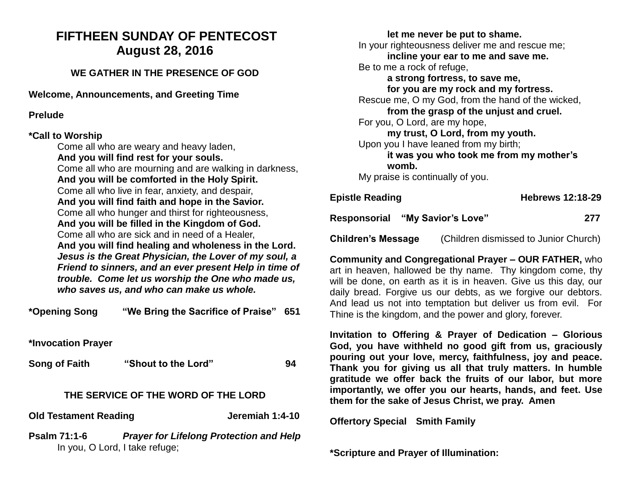## **FIFTHEEN SUNDAY OF PENTECOST August 28, 2016**

#### **WE GATHER IN THE PRESENCE OF GOD**

**Welcome, Announcements, and Greeting Time** 

**Prelude** 

#### **\*Call to Worship**

Come all who are weary and heavy laden, **And you will find rest for your souls.** Come all who are mourning and are walking in darkness, **And you will be comforted in the Holy Spirit.** Come all who live in fear, anxiety, and despair, **And you will find faith and hope in the Savior.** Come all who hunger and thirst for righteousness, **And you will be filled in the Kingdom of God.** Come all who are sick and in need of a Healer, **And you will find healing and wholeness in the Lord.** *Jesus is the Great Physician, the Lover of my soul, a Friend to sinners, and an ever present Help in time of trouble. Come let us worship the One who made us, who saves us, and who can make us whole.* 

**\*Opening Song "We Bring the Sacrifice of Praise" 651**

**\*Invocation Prayer** 

**Song of Faith "Shout to the Lord" 94**

#### **THE SERVICE OF THE WORD OF THE LORD**

**Old Testament Reading Constrained Serverse Serverse Serverse Jeremiah 1:4-10** 

**Psalm 71:1-6** *Prayer for Lifelong Protection and Help* In you, O Lord, I take refuge;

**let me never be put to shame.** In your righteousness deliver me and rescue me; **incline your ear to me and save me.** Be to me a rock of refuge, **a strong fortress, to save me, for you are my rock and my fortress.** Rescue me, O my God, from the hand of the wicked, **from the grasp of the unjust and cruel.** For you, O Lord, are my hope, **my trust, O Lord, from my youth.** Upon you I have leaned from my birth; **it was you who took me from my mother's womb.** My praise is continually of you.

| <b>Responsorial "My Savior's Love"</b> | 277 |  |
|----------------------------------------|-----|--|
|                                        |     |  |

**Epistle Reading Community Reading Reading Research Research Research Research Research Research Research Research Research Research Research Research Research Research Research Research Research Research Research Research** 

**Children's Message** (Children dismissed to Junior Church)

**Community and Congregational Prayer – OUR FATHER,** who art in heaven, hallowed be thy name. Thy kingdom come, thy will be done, on earth as it is in heaven. Give us this day, our daily bread. Forgive us our debts, as we forgive our debtors. And lead us not into temptation but deliver us from evil. For Thine is the kingdom, and the power and glory, forever.

**Invitation to Offering & Prayer of Dedication – Glorious God, you have withheld no good gift from us, graciously pouring out your love, mercy, faithfulness, joy and peace. Thank you for giving us all that truly matters. In humble gratitude we offer back the fruits of our labor, but more importantly, we offer you our hearts, hands, and feet. Use them for the sake of Jesus Christ, we pray. Amen** 

**Offertory Special Smith Family**

**\*Scripture and Prayer of Illumination:**